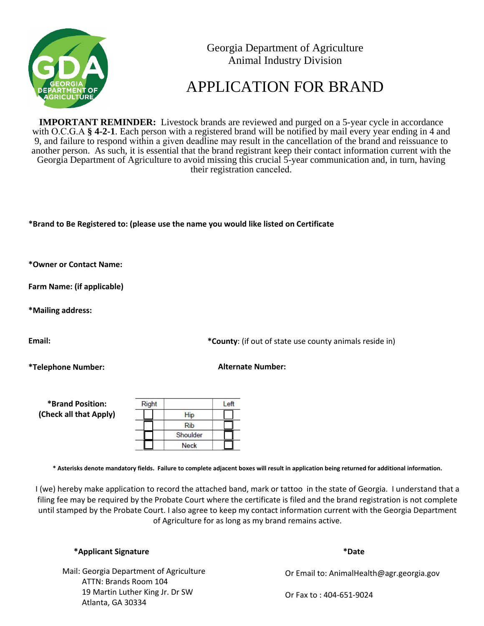

Georgia Department of Agriculture Animal Industry Division

## APPLICATION FOR BRAND

**IMPORTANT REMINDER:** Livestock brands are reviewed and purged on a 5-year cycle in accordance with O.C.G.A **§ 4-2-1**. Each person with a registered brand will be notified by mail every year ending in 4 and 9, and failure to respond within a given deadline may result in the cancellation of the brand and reissuance to another person. As such, it is essential that the brand registrant keep their contact information current with the Georgia Department of Agriculture to avoid missing this crucial 5-year communication and, in turn, having their registration canceled.

**\*Brand to Be Registered to: (please use the name you would like listed on Certificate**

**\*Owner or Contact Name:**

**Farm Name: (if applicable)**

**\*Mailing address:**

**Email:**

**\*Telephone Number:**

**\*County**: (if out of state use county animals reside in)

**Alternate Number:**

| *Brand Position:       | Right |             |  |
|------------------------|-------|-------------|--|
| (Check all that Apply) |       | Hip         |  |
|                        |       | Rib         |  |
|                        |       | Shoulder    |  |
|                        |       | <b>Neck</b> |  |

**\* Asterisks denote mandatory fields. Failure to complete adjacent boxes will result in application being returned for additional information.**

I (we) hereby make application to record the attached band, mark or tattoo in the state of Georgia. I understand that a filing fee may be required by the Probate Court where the certificate is filed and the brand registration is not complete until stamped by the Probate Court. I also agree to keep my contact information current with the Georgia Department of Agriculture for as long as my brand remains active.

 ATTN: Brands Room 104 19 Martin Luther King Jr. Dr SW Atlanta, GA 30334 Mail: Georgia Department of Agriculture **\*Date**

Or Email to: AnimalHealth@agr.georgia.gov

Or Fax to : 404-651-9024